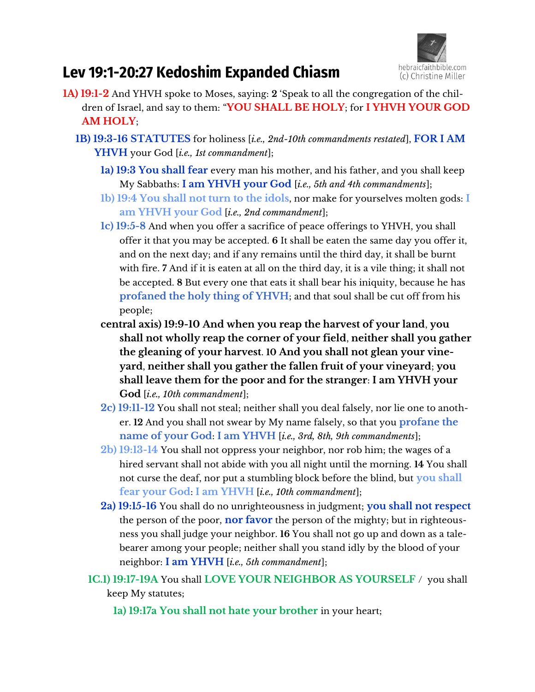

# **Lev 19:1-20:27 Kedoshim Expanded Chiasm**

- **1A) 19:1-2** And YHVH spoke to Moses, saying: **2** 'Speak to all the congregation of the children of Israel, and say to them: "**YOU SHALL BE HOLY**; for **I YHVH YOUR GOD AM HOLY**;
	- **1B) 19:3-16 STATUTES** for holiness [*i.e., 2nd-10th commandments restated*], **FOR I AM YHVH** your God [*i.e., 1st commandment*];
		- **1a) 19:3 You shall fear** every man his mother, and his father, and you shall keep My Sabbaths: **I am YHVH your God** [*i.e., 5th and 4th commandments*];
		- **1b) 19:4 You shall not turn to the idols**, nor make for yourselves molten gods: **I am YHVH your God** [*i.e., 2nd commandment*];
		- **1c) 19:5-8** And when you offer a sacrifice of peace offerings to YHVH, you shall offer it that you may be accepted. **6** It shall be eaten the same day you offer it, and on the next day; and if any remains until the third day, it shall be burnt with fire. **7** And if it is eaten at all on the third day, it is a vile thing; it shall not be accepted. **8** But every one that eats it shall bear his iniquity, because he has **profaned the holy thing of YHVH**; and that soul shall be cut off from his people;
		- **central axis) 19:9-10 And when you reap the harvest of your land**, **you shall not wholly reap the corner of your field**, **neither shall you gather the gleaning of your harvest**. **10 And you shall not glean your vineyard**, **neither shall you gather the fallen fruit of your vineyard**; **you shall leave them for the poor and for the stranger**: **I am YHVH your God** [*i.e., 10th commandment*];
		- **2c) 19:11-12** You shall not steal; neither shall you deal falsely, nor lie one to another. **12** And you shall not swear by My name falsely, so that you **profane the name of your God**: **I am YHVH** [*i.e., 3rd, 8th, 9th commandments*];
		- **2b) 19:13-14** You shall not oppress your neighbor, nor rob him; the wages of a hired servant shall not abide with you all night until the morning. **14** You shall not curse the deaf, nor put a stumbling block before the blind, but **you shall fear your God**: **I am YHVH** [*i.e., 10th commandment*];
		- **2a) 19:15-16** You shall do no unrighteousness in judgment; **you shall not respect** the person of the poor, **nor favor** the person of the mighty; but in righteousness you shall judge your neighbor. **16** You shall not go up and down as a talebearer among your people; neither shall you stand idly by the blood of your neighbor: **I am YHVH** [*i.e., 5th commandment*];
		- **1C.1) 19:17-19A** You shall **LOVE YOUR NEIGHBOR AS YOURSELF** / you shall keep My statutes;
			- **1a) 19:17a You shall not hate your brother** in your heart;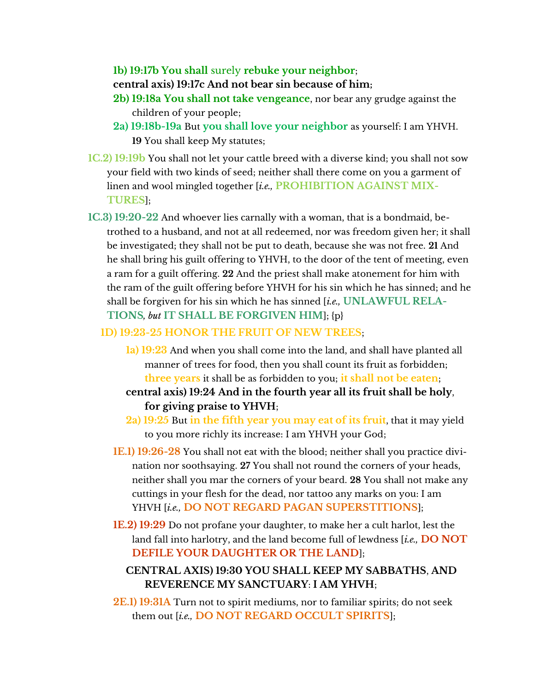**1b) 19:17b You shall** surely **rebuke your neighbor**;

**central axis) 19:17c And not bear sin because of him;**

- **2b) 19:18a You shall not take vengeance**, nor bear any grudge against the children of your people;
- **2a) 19:18b-19a** But **you shall love your neighbor** as yourself: I am YHVH. **19** You shall keep My statutes;
- **1C.2) 19:19b** You shall not let your cattle breed with a diverse kind; you shall not sow your field with two kinds of seed; neither shall there come on you a garment of linen and wool mingled together [*i.e.,* **PROHIBITION AGAINST MIX-TURES**];
- **1C.3) 19:20-22** And whoever lies carnally with a woman, that is a bondmaid, betrothed to a husband, and not at all redeemed, nor was freedom given her; it shall be investigated; they shall not be put to death, because she was not free. **21** And he shall bring his guilt offering to YHVH, to the door of the tent of meeting, even a ram for a guilt offering. **22** And the priest shall make atonement for him with the ram of the guilt offering before YHVH for his sin which he has sinned; and he shall be forgiven for his sin which he has sinned [*i.e.,* **UNLAWFUL RELA-TIONS***, but* **IT SHALL BE FORGIVEN HIM**]; {p}

#### **1D) 19:23-25 HONOR THE FRUIT OF NEW TREES**;

- **1a) 19:23** And when you shall come into the land, and shall have planted all manner of trees for food, then you shall count its fruit as forbidden; **three years** it shall be as forbidden to you; **it shall not be eaten**;
- **central axis) 19:24 And in the fourth year all its fruit shall be holy**, **for giving praise to YHVH**;
- **2a) 19:25** But **in the fifth year you may eat of its fruit**, that it may yield to you more richly its increase: I am YHVH your God;
- **1E.1) 19:26-28** You shall not eat with the blood; neither shall you practice divination nor soothsaying. **27** You shall not round the corners of your heads, neither shall you mar the corners of your beard. **28** You shall not make any cuttings in your flesh for the dead, nor tattoo any marks on you: I am YHVH [*i.e.,* **DO NOT REGARD PAGAN SUPERSTITIONS**];
- **1E.2) 19:29** Do not profane your daughter, to make her a cult harlot, lest the land fall into harlotry, and the land become full of lewdness [*i.e.,* **DO NOT DEFILE YOUR DAUGHTER OR THE LAND**];

## **CENTRAL AXIS) 19:30 YOU SHALL KEEP MY SABBATHS**, **AND REVERENCE MY SANCTUARY**: **I AM YHVH**;

**2E.1) 19:31A** Turn not to spirit mediums, nor to familiar spirits; do not seek them out [*i.e.,* **DO NOT REGARD OCCULT SPIRITS**];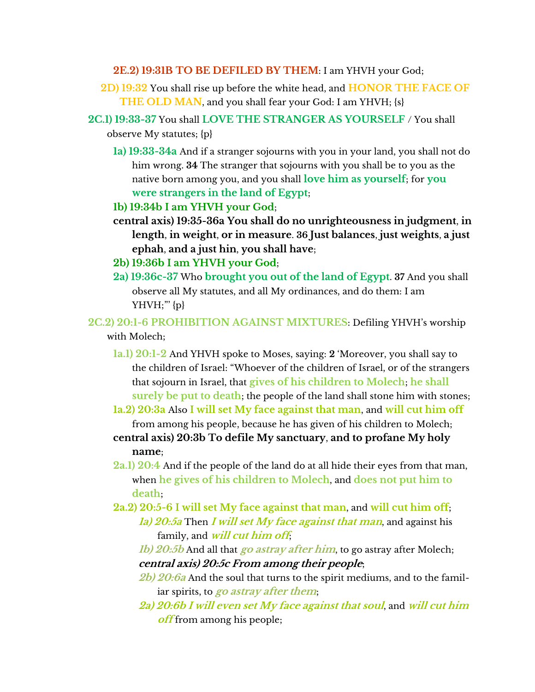**2E.2) 19:31B TO BE DEFILED BY THEM**: I am YHVH your God;

- **2D) 19:32** You shall rise up before the white head, and **HONOR THE FACE OF THE OLD MAN**, and you shall fear your God: I am YHVH; {s}
- **2C.1) 19:33-37** You shall **LOVE THE STRANGER AS YOURSELF** / You shall observe My statutes; {p}
	- **1a) 19:33-34a** And if a stranger sojourns with you in your land, you shall not do him wrong. **34** The stranger that sojourns with you shall be to you as the native born among you, and you shall **love him as yourself**; for **you were strangers in the land of Egypt**;
	- **1b) 19:34b I am YHVH your God**;
	- **central axis) 19:35-36a You shall do no unrighteousness in judgment**, **in length**, **in weight**, **or in measure**. **36 Just balances**, **just weights**, **a just ephah**, **and a just hin**, **you shall have**;
	- **2b) 19:36b I am YHVH your God**;
	- **2a) 19:36c-37** Who **brought you out of the land of Egypt**. **37** And you shall observe all My statutes, and all My ordinances, and do them: I am YHVH;"' {p}
- **2C.2) 20:1-6 PROHIBITION AGAINST MIXTURES: Defiling YHVH's worship** with Molech;
	- **1a.1) 20:1-2** And YHVH spoke to Moses, saying: **2** 'Moreover, you shall say to the children of Israel: "Whoever of the children of Israel, or of the strangers that sojourn in Israel, that **gives of his children to Molech**; **he shall surely be put to death**; the people of the land shall stone him with stones;
	- **1a.2) 20:3a** Also **I will set My face against that man**, and **will cut him off**
	- from among his people, because he has given of his children to Molech; **central axis) 20:3b To defile My sanctuary**, **and to profane My holy name**;
	- **2a.1) 20:4** And if the people of the land do at all hide their eyes from that man, when **he gives of his children to Molech**, and **does not put him to death**;
	- **2a.2) 20:5-6 I will set My face against that man**, and **will cut him off**; **1a) 20:5a** Then **I will set My face against that man**, and against his family, and **will cut him off**;
		- **1b) 20:5b** And all that **go astray after him**, to go astray after Molech; **central axis) 20:5c From among their people**;
		- **2b) 20:6a** And the soul that turns to the spirit mediums, and to the familiar spirits, to **go astray after them**;
		- **2a) 20:6b I will even set My face against that soul**, and **will cut him off** from among his people;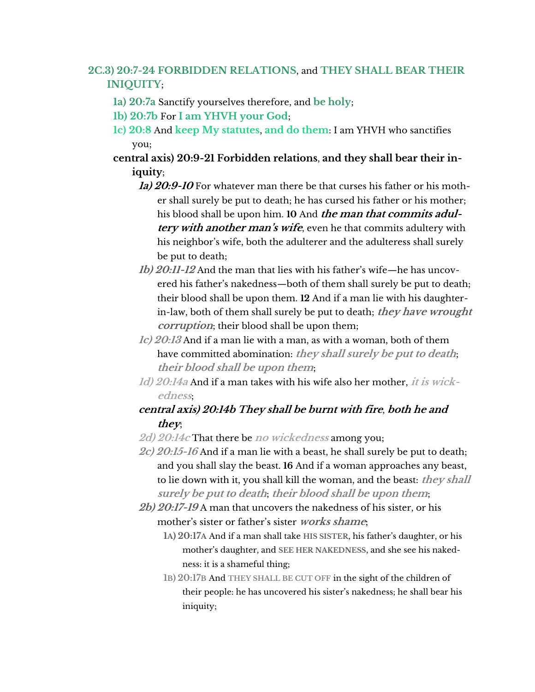## **2C.3) 20:7-24 FORBIDDEN RELATIONS**, and **THEY SHALL BEAR THEIR INIQUITY**;

- **1a) 20:7a** Sanctify yourselves therefore, and **be holy**;
- **1b) 20:7b** For **I am YHVH your God**;
- **1c) 20:8** And **keep My statutes**, **and do them**: I am YHVH who sanctifies you;
- **central axis) 20:9-21 Forbidden relations**, **and they shall bear their iniquity**;
	- **1a) 20:9-10** For whatever man there be that curses his father or his mother shall surely be put to death; he has cursed his father or his mother; his blood shall be upon him. **10** And **the man that commits adultery with another man's wife**, even he that commits adultery with his neighbor's wife, both the adulterer and the adulteress shall surely be put to death;
	- *1b) 20:11-12* And the man that lies with his father's wife—he has uncovered his father's nakedness—both of them shall surely be put to death; their blood shall be upon them. **12** And if a man lie with his daughterin-law, both of them shall surely be put to death; **they have wrought corruption**; their blood shall be upon them;
	- **1c) 20:13** And if a man lie with a man, as with a woman, both of them have committed abomination: **they shall surely be put to death**; **their blood shall be upon them**;
	- **1d) 20:14a** And if a man takes with his wife also her mother, **it is wickedness**;

### **central axis) 20:14b They shall be burnt with fire**, **both he and they**;

- **2d) 20:14c** That there be **no wickedness** among you;
- **2c) 20:15-16** And if a man lie with a beast, he shall surely be put to death; and you shall slay the beast. **16** And if a woman approaches any beast, to lie down with it, you shall kill the woman, and the beast: **they shall surely be put to death**; **their blood shall be upon them**;
- **2b) 20:17-19** A man that uncovers the nakedness of his sister, or his mother's sister or father's sister *works shame*;
	- **1**A) 20:17A And if a man shall take HIS SISTER, his father's daughter, or his mother's daughter, and SEE HER NAKEDNESS, and she see his nakedness: it is a shameful thing;
	- **1B) 20:17B** And **THEY SHALL BE CUT OFF** in the sight of the children of their people: he has uncovered his sister's nakedness; he shall bear his iniquity;